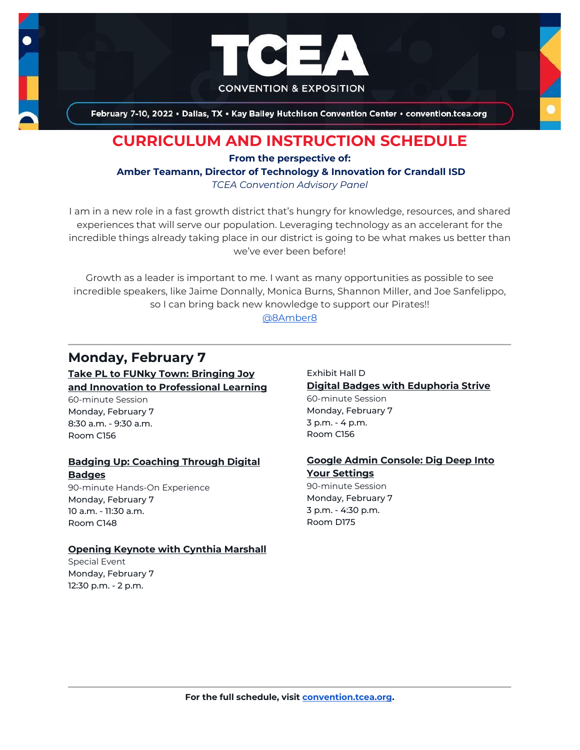

February 7-10, 2022 . Dallas, TX . Kay Bailey Hutchison Convention Center . convention.tcea.org

# **CURRICULUM AND INSTRUCTION SCHEDULE**

**From the perspective of:**

**Amber Teamann, Director of Technology & Innovation for Crandall ISD**

*TCEA Convention Advisory Panel*

I am in a new role in a fast growth district that's hungry for knowledge, resources, and shared experiences that will serve our population. Leveraging technology as an accelerant for the incredible things already taking place in our district is going to be what makes us better than we've ever been before!

Growth as a leader is important to me. I want as many opportunities as possible to see incredible speakers, like Jaime Donnally, Monica Burns, Shannon Miller, and Joe Sanfelippo, so I can bring back new knowledge to support our Pirates!!

[@8Amber8](https://twitter.com/@8Amber8)

# **Monday, February 7**

**[Take PL to FUNky Town: Bringing Joy](https://register.tcea.org/2022/session_list.cfm?session_key=0241B26E-F04D-A206-2B64-4A2CBB6AADD2&session_date=Monday,%20Feb%2007,%202022)  [and Innovation to Professional Learning](https://register.tcea.org/2022/session_list.cfm?session_key=0241B26E-F04D-A206-2B64-4A2CBB6AADD2&session_date=Monday,%20Feb%2007,%202022)** 60-minute Session Monday, February 7 8:30 a.m. - 9:30 a.m. Room C156

#### **[Badging Up: Coaching Through Digital](https://register.tcea.org/2022/session_list.cfm?session_key=0231695D-F04D-A206-2B64-426CF1F306D8&session_date=Monday,%20Feb%2007,%202022)  [Badges](https://register.tcea.org/2022/session_list.cfm?session_key=0231695D-F04D-A206-2B64-426CF1F306D8&session_date=Monday,%20Feb%2007,%202022)**

90-minute Hands-On Experience Monday, February 7 10 a.m. - 11:30 a.m. Room C148

#### **[Opening Keynote with Cynthia Marshall](https://register.tcea.org/2022/session_list.cfm?session_key=5F0745B8-F04D-A206-2B64-0D4631096E34&session_date=Monday,%20Feb%2007,%202022)**

Special Event Monday, February 7 12:30 p.m. - 2 p.m.

Exhibit Hall D **[Digital Badges with Eduphoria Strive](https://register.tcea.org/2022/session_list.cfm?session_key=0235DF48-F04D-A206-2B64-313708137E72&session_date=Monday,%20Feb%2007,%202022)** 60-minute Session Monday, February 7 3 p.m. - 4 p.m. Room C156

### **[Google Admin Console: Dig Deep Into](https://register.tcea.org/2022/session_list.cfm?session_key=0238F08E-F04D-A206-2B64-C5B0B9DF038B&session_date=Monday,%20Feb%2007,%202022)  [Your Settings](https://register.tcea.org/2022/session_list.cfm?session_key=0238F08E-F04D-A206-2B64-C5B0B9DF038B&session_date=Monday,%20Feb%2007,%202022)**

90-minute Session Monday, February 7 3 p.m. - 4:30 p.m. Room D175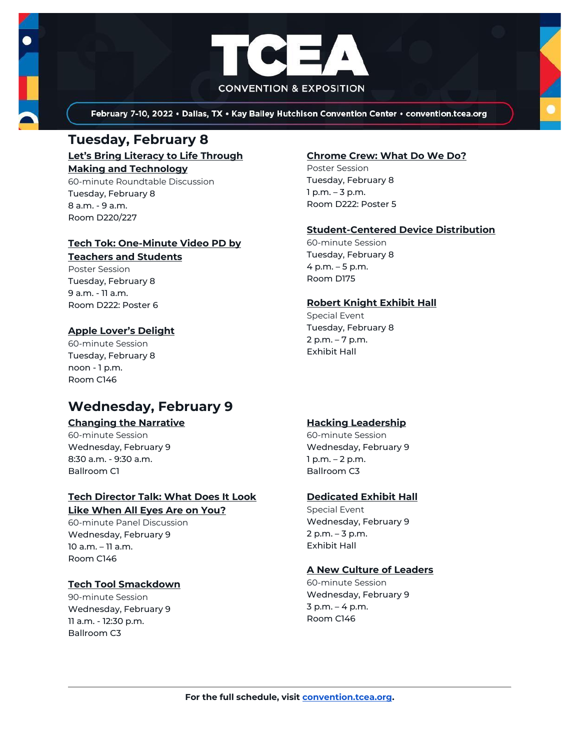

February 7-10, 2022 . Dallas, TX . Kay Bailey Hutchison Convention Center . convention.tcea.org

## **Tuesday, February 8**

**[Let's Bring Literacy to Life Through](https://register.tcea.org/2022/session_list.cfm?session_key=C22522D7-F04D-A206-2B64-76E71CD3730B&session_date=Tuesday,%20Feb%2008,%202022)  [Making and Technology](https://register.tcea.org/2022/session_list.cfm?session_key=C22522D7-F04D-A206-2B64-76E71CD3730B&session_date=Tuesday,%20Feb%2008,%202022)**

60-minute Roundtable Discussion Tuesday, February 8 8 a.m. - 9 a.m. Room D220/227

### **[Tech Tok: One-Minute Video PD by](https://register.tcea.org/2022/session_list.cfm?session_key=0242140A-F04D-A206-2B64-48603AF7FAE7&session_date=Tuesday,%20Feb%2008,%202022)**

#### **[Teachers and Students](https://register.tcea.org/2022/session_list.cfm?session_key=0242140A-F04D-A206-2B64-48603AF7FAE7&session_date=Tuesday,%20Feb%2008,%202022)**

Poster Session Tuesday, February 8 9 a.m. - 11 a.m. Room D222: Poster 6

### **[Apple Lover's Delight](https://register.tcea.org/2022/session_list.cfm?session_key=023119DF-F04D-A206-2B64-7F1B43E5C4B9&session_date=Tuesday,%20Feb%2008,%202022)**

60-minute Session Tuesday, February 8 noon - 1 p.m. Room C146

# **Wednesday, February 9**

#### **[Changing the Narrative](https://register.tcea.org/2022/session_list.cfm?session_key=B3B6372E-F04D-A206-2B64-73DCE26BFA4C&session_date=Wednesday,%20Feb%2009,%202022)**

60-minute Session Wednesday, February 9 8:30 a.m. - 9:30 a.m. Ballroom C1

### **[Tech Director Talk: What Does It Look](https://register.tcea.org/2022/session_list.cfm?session_key=0241F9E7-F04D-A206-2B64-F69BD787A9E5&session_date=Wednesday,%20Feb%2009,%202022)  [Like When All Eyes Are on You?](https://register.tcea.org/2022/session_list.cfm?session_key=0241F9E7-F04D-A206-2B64-F69BD787A9E5&session_date=Wednesday,%20Feb%2009,%202022)**

60-minute Panel Discussion Wednesday, February 9 10 a.m. – 11 a.m. Room C146

### **[Tech Tool Smackdown](https://register.tcea.org/2022/session_list.cfm?session_key=0241EAB5-F04D-A206-2B64-C7E6531C03B4&session_date=Wednesday,%20Feb%2009,%202022)**

90-minute Session Wednesday, February 9 11 a.m. - 12:30 p.m. Ballroom C3

### **[Chrome Crew: What Do We Do?](https://register.tcea.org/2022/session_list.cfm?session_key=02334F07-F04D-A206-2B64-D1F5380382CA&session_date=Tuesday,%20Feb%2008,%202022)**

Poster Session Tuesday, February 8 1 p.m. – 3 p.m. Room D222: Poster 5

### **[Student-Centered Device Distribution](https://register.tcea.org/2022/session_list.cfm?session_key=024173CD-F04D-A206-2B64-FB8559BC8AAF&session_date=Tuesday,%20Feb%2008,%202022)**

60-minute Session Tuesday, February 8 4 p.m. – 5 p.m. Room D175

#### **[Robert Knight Exhibit Hall](https://register.tcea.org/2022/session_list.cfm?session_key=61CDF249-F04D-A206-2B64-15D6559D2515&session_date=Tuesday,%20Feb%2008,%202022)**

Special Event Tuesday, February 8 2 p.m. – 7 p.m. Exhibit Hall

### **[Hacking Leadership](https://register.tcea.org/2022/session_list.cfm?session_key=B3B64A68-F04D-A206-2B64-CC8E2DDEE47F&session_date=Wednesday,%20Feb%2009,%202022)**

60-minute Session Wednesday, February 9 1 p.m. – 2 p.m. Ballroom C3

### **[Dedicated Exhibit Hall](https://register.tcea.org/2022/session_list.cfm?session_key=61CDD8E6-F04D-A206-2B64-74AAAD8173D7&session_date=Wednesday,%20Feb%2009,%202022)**

Special Event Wednesday, February 9 2 p.m. – 3 p.m. Exhibit Hall

### **[A New Culture of Leaders](https://register.tcea.org/2022/session_list.cfm?session_key=02301246-F04D-A206-2B64-6C8A208EB070&session_date=Wednesday,%20Feb%2009,%202022)**

60-minute Session Wednesday, February 9 3 p.m. – 4 p.m. Room C146